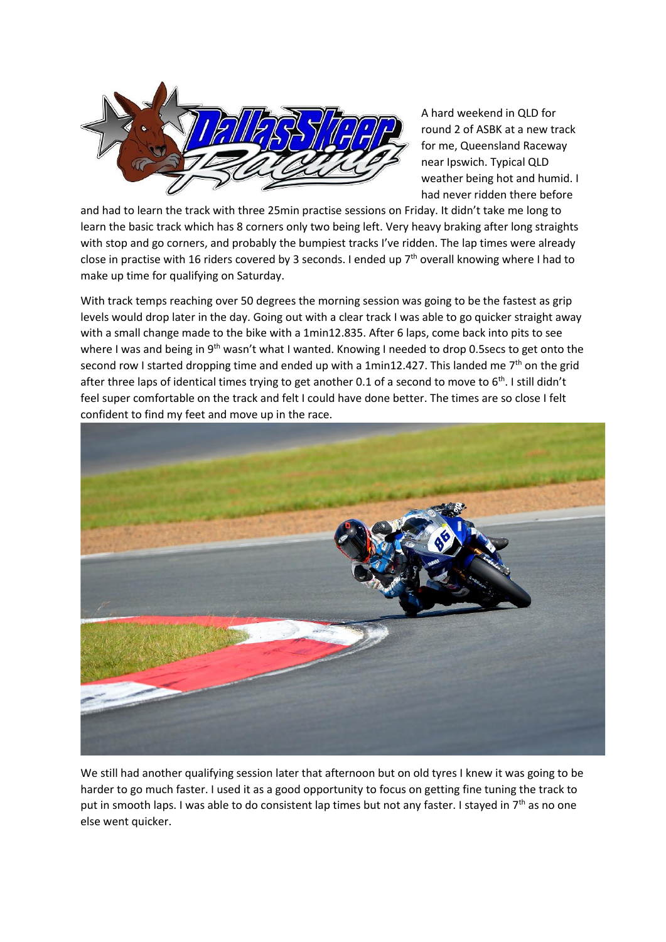

A hard weekend in QLD for round 2 of ASBK at a new track for me, Queensland Raceway near Ipswich. Typical QLD weather being hot and humid. I had never ridden there before

and had to learn the track with three 25min practise sessions on Friday. It didn't take me long to learn the basic track which has 8 corners only two being left. Very heavy braking after long straights with stop and go corners, and probably the bumpiest tracks I've ridden. The lap times were already close in practise with 16 riders covered by 3 seconds. I ended up  $7<sup>th</sup>$  overall knowing where I had to make up time for qualifying on Saturday.

With track temps reaching over 50 degrees the morning session was going to be the fastest as grip levels would drop later in the day. Going out with a clear track I was able to go quicker straight away with a small change made to the bike with a 1min12.835. After 6 laps, come back into pits to see where I was and being in 9<sup>th</sup> wasn't what I wanted. Knowing I needed to drop 0.5secs to get onto the second row I started dropping time and ended up with a 1min12.427. This landed me  $7<sup>th</sup>$  on the grid after three laps of identical times trying to get another 0.1 of a second to move to  $6<sup>th</sup>$ . I still didn't feel super comfortable on the track and felt I could have done better. The times are so close I felt confident to find my feet and move up in the race.



We still had another qualifying session later that afternoon but on old tyres I knew it was going to be harder to go much faster. I used it as a good opportunity to focus on getting fine tuning the track to put in smooth laps. I was able to do consistent lap times but not any faster. I stayed in  $7<sup>th</sup>$  as no one else went quicker.